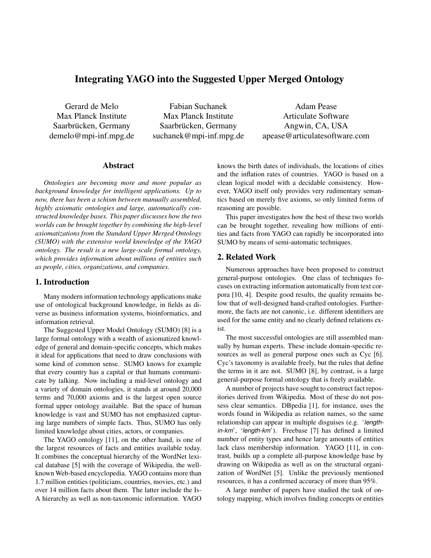# Integrating YAGO into the Suggested Upper Merged Ontology

Gerard de Melo Max Planck Institute Saarbrücken, Germany demelo@mpi-inf.mpg.de

Fabian Suchanek Max Planck Institute Saarbrücken, Germany suchanek@mpi-inf.mpg.de

Adam Pease Articulate Software Angwin, CA, USA apease@articulatesoftware.com

## Abstract

*Ontologies are becoming more and more popular as background knowledge for intelligent applications. Up to now, there has been a schism between manually assembled, highly axiomatic ontologies and large, automatically constructed knowledge bases. This paper discusses how the two worlds can be brought together by combining the high-level axiomatizations from the Standard Upper Merged Ontology (SUMO) with the extensive world knowledge of the YAGO ontology. The result is a new large-scale formal ontology, which provides information about millions of entities such as people, cities, organizations, and companies.*

## 1. Introduction

Many modern information technology applications make use of ontological background knowledge, in fields as diverse as business information systems, bioinformatics, and information retrieval.

The Suggested Upper Model Ontology (SUMO) [8] is a large formal ontology with a wealth of axiomatized knowledge of general and domain-specific concepts, which makes it ideal for applications that need to draw conclusions with some kind of common sense. SUMO knows for example that every country has a capital or that humans communicate by talking. Now including a mid-level ontology and a variety of domain ontologies, it stands at around 20,000 terms and 70,000 axioms and is the largest open source formal upper ontology available. But the space of human knowledge is vast and SUMO has not emphasized capturing large numbers of simple facts. Thus, SUMO has only limited knowledge about cities, actors, or companies.

The YAGO ontology [11], on the other hand, is one of the largest resources of facts and entities available today. It combines the conceptual hierarchy of the WordNet lexical database [5] with the coverage of Wikipedia, the wellknown Web-based encyclopedia. YAGO contains more than 1.7 million entities (politicians, countries, movies, etc.) and over 14 million facts about them. The latter include the Is-A hierarchy as well as non-taxonomic information. YAGO

knows the birth dates of individuals, the locations of cities and the inflation rates of countries. YAGO is based on a clean logical model with a decidable consistency. However, YAGO itself only provides very rudimentary semantics based on merely five axioms, so only limited forms of reasoning are possible.

This paper investigates how the best of these two worlds can be brought together, revealing how millions of entities and facts from YAGO can rapidly be incorporated into SUMO by means of semi-automatic techniques.

## 2. Related Work

Numerous approaches have been proposed to construct general-purpose ontologies. One class of techniques focuses on extracting information automatically from text corpora [10, 4]. Despite good results, the quality remains below that of well-designed hand-crafted ontologies. Furthermore, the facts are not canonic, i.e. different identifiers are used for the same entity and no clearly defined relations exist.

The most successful ontologies are still assembled manually by human experts. These include domain-specific resources as well as general purpose ones such as Cyc [6]. Cyc's taxonomy is available freely, but the rules that define the terms in it are not. SUMO [8], by contrast, is a large general-purpose formal ontology that is freely available.

A number of projects have sought to construct fact repositories derived from Wikipedia. Most of these do not possess clear semantics. DBpedia [1], for instance, uses the words found in Wikipedia as relation names, so the same relationship can appear in multiple disguises (e.g. '*lengthin-km*', '*length-km*'). Freebase [7] has defined a limited number of entity types and hence large amounts of entities lack class membership information. YAGO [11], in contrast, builds up a complete all-purpose knowledge base by drawing on Wikipedia as well as on the structural organization of WordNet [5]. Unlike the previously mentioned resources, it has a confirmed accuracy of more than 95%.

A large number of papers have studied the task of ontology mapping, which involves finding concepts or entities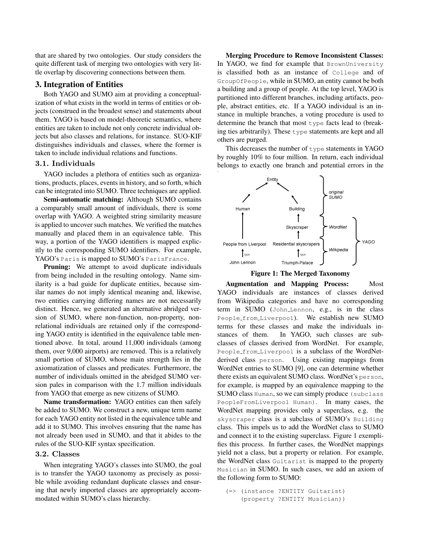that are shared by two ontologies. Our study considers the quite different task of merging two ontologies with very little overlap by discovering connections between them.

## 3. Integration of Entities

Both YAGO and SUMO aim at providing a conceptualization of what exists in the world in terms of entities or objects (construed in the broadest sense) and statements about them. YAGO is based on model-theoretic semantics, where entities are taken to include not only concrete individual objects but also classes and relations, for instance. SUO-KIF distinguishes individuals and classes, where the former is taken to include individual relations and functions.

#### 3.1. Individuals

YAGO includes a plethora of entities such as organizations, products, places, events in history, and so forth, which can be integrated into SUMO. Three techniques are applied.

Semi-automatic matching: Although SUMO contains a comparably small amount of individuals, there is some overlap with YAGO. A weighted string similarity measure is applied to uncover such matches. We verified the matches manually and placed them in an equivalence table. This way, a portion of the YAGO identifiers is mapped explicitly to the corresponding SUMO identifiers. For example, YAGO's Paris is mapped to SUMO's ParisFrance.

**Pruning:** We attempt to avoid duplicate individuals from being included in the resulting ontology. Name similarity is a bad guide for duplicate entities, because similar names do not imply identical meaning and, likewise, two entities carrying differing names are not necessarily distinct. Hence, we generated an alternative abridged version of SUMO, where non-function, non-property, nonrelational individuals are retained only if the corresponding YAGO entity is identified in the equivalence table mentioned above. In total, around 11,000 individuals (among them, over 9,000 airports) are removed. This is a relatively small portion of SUMO, whose main strength lies in the axiomatization of classes and predicates. Furthermore, the number of individuals omitted in the abridged SUMO version pales in comparison with the 1.7 million individuals from YAGO that emerge as new citizens of SUMO.

Name transformation: YAGO entities can then safely be added to SUMO. We construct a new, unique term name for each YAGO entity not listed in the equivalence table and add it to SUMO. This involves ensuring that the name has not already been used in SUMO, and that it abides to the rules of the SUO-KIF syntax specification.

#### 3.2. Classes

When integrating YAGO's classes into SUMO, the goal is to transfer the YAGO taxonomy as precisely as possible while avoiding redundant duplicate classes and ensuring that newly imported classes are appropriately accommodated within SUMO's class hierarchy.

Merging Procedure to Remove Inconsistent Classes: In YAGO, we find for example that BrownUniversity is classified both as an instance of College and of GroupOfPeople, while in SUMO, an entity cannot be both a building and a group of people. At the top level, YAGO is partitioned into different branches, including artifacts, people, abstract entities, etc. If a YAGO individual is an instance in multiple branches, a voting procedure is used to determine the branch that most type facts lead to (breaking ties arbitrarily). These type statements are kept and all others are purged.

This decreases the number of type statements in YAGO by roughly 10% to four million. In return, each individual belongs to exactly one branch and potential errors in the





Augmentation and Mapping Process: Most YAGO individuals are instances of classes derived from Wikipedia categories and have no corresponding term in SUMO (John Lennon, e.g., is in the class People from Liverpool). We establish new SUMO terms for these classes and make the individuals instances of them. In YAGO, such classes are subclasses of classes derived from WordNet. For example, People from Liverpool is a subclass of the WordNetderived class person. Using existing mappings from WordNet entries to SUMO [9], one can determine whether there exists an equivalent SUMO class. WordNet's person, for example, is mapped by an equivalence mapping to the SUMO class Human, so we can simply produce (subclass PeopleFromLiverpool Human). In many cases, the WordNet mapping provides only a superclass, e.g. the skyscraper class is a subclass of SUMO's Building class. This impels us to add the WordNet class to SUMO and connect it to the existing superclass. Figure 1 exemplifies this process. In further cases, the WordNet mappings yield not a class, but a property or relation. For example, the WordNet class Guitarist is mapped to the property Musician in SUMO. In such cases, we add an axiom of the following form to SUMO:

(=> (instance ?ENTITY Guitarist) (property ?ENTITY Musician))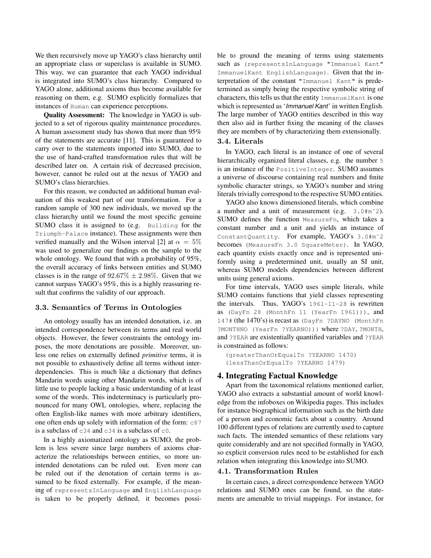We then recursively move up YAGO's class hierarchy until an appropriate class or superclass is available in SUMO. This way, we can guarantee that each YAGO individual is integrated into SUMO's class hierarchy. Compared to YAGO alone, additional axioms thus become available for reasoning on them, e.g. SUMO explicitly formalizes that instances of Human can experience perceptions.

Quality Assessment: The knowledge in YAGO is subjected to a set of rigorous quality maintenance procedures. A human assessment study has shown that more than 95% of the statements are accurate [11]. This is guaranteed to carry over to the statements imported into SUMO, due to the use of hand-crafted transformation rules that will be described later on. A certain risk of decreased precision, however, cannot be ruled out at the nexus of YAGO and SUMO's class hierarchies.

For this reason, we conducted an additional human evaluation of this weakest part of our transformation. For a random sample of 300 new individuals, we moved up the class hierarchy until we found the most specific genuine SUMO class it is assigned to (e.g. Building for the Triumph-Palace instance). These assignments were then verified manually and the Wilson interval [2] at  $\alpha = 5\%$ was used to generalize our findings on the sample to the whole ontology. We found that with a probability of 95%, the overall accuracy of links between entities and SUMO classes is in the range of  $92.67\% \pm 2.98\%$ . Given that we cannot surpass YAGO's 95%, this is a highly reassuring result that confirms the validity of our approach.

#### 3.3. Semantics of Terms in Ontologies

An ontology usually has an intended denotation, i.e. an intended correspondence between its terms and real world objects. However, the fewer constraints the ontology imposes, the more denotations are possible. Moreover, unless one relies on externally defined *primitive* terms, it is not possible to exhaustively define all terms without interdependencies. This is much like a dictionary that defines Mandarin words using other Mandarin words, which is of little use to people lacking a basic understanding of at least some of the words. This indeterminacy is particularly pronounced for many OWL ontologies, where, replacing the often English-like names with more arbitrary identifiers, one often ends up solely with information of the form: c87 is a subclass of  $c34$  and  $c34$  is a subclass of  $c0$ .

In a highly axiomatized ontology as SUMO, the problem is less severe since large numbers of axioms characterize the relationships between entities, so more unintended denotations can be ruled out. Even more can be ruled out if the denotation of certain terms is assumed to be fixed externally. For example, if the meaning of representsInLanguage and EnglishLanguage is taken to be properly defined, it becomes possible to ground the meaning of terms using statements such as (representsInLanguage "Immanuel Kant" ImmanuelKant EnglishLanguage). Given that the interpretation of the constant "Immanuel Kant" is predetermined as simply being the respective symbolic string of characters, this tells us that the entity ImmanuelKant is one which is represented as '*Immanuel Kant*' in written English. The large number of YAGO entities described in this way then also aid in further fixing the meaning of the classes they are members of by characterizing them extensionally.

## 3.4. Literals

In YAGO, each literal is an instance of one of several hierarchically organized literal classes, e.g. the number 5 is an instance of the PositiveInteger. SUMO assumes a universe of discourse containing real numbers and finite symbolic character strings, so YAGO's number and string literals trivially correspond to the respective SUMO entities.

YAGO also knows dimensioned literals, which combine a number and a unit of measurement (e.g.  $3.0 \text{ mm}^2$ ). SUMO defines the function MeasureFn, which takes a constant number and a unit and yields an instance of ConstantQuantity. For example, YAGO's 3.0#mˆ2 becomes (MeasureFn 3.0 SquareMeter). In YAGO, each quantity exists exactly once and is represented uniformly using a predetermined unit, usually an SI unit, whereas SUMO models dependencies between different units using general axioms.

For time intervals, YAGO uses simple literals, while SUMO contains functions that yield classes representing the intervals. Thus, YAGO's 1961-11-28 is rewritten as (DayFn 28 (MonthFn 11 (YearFn 1961))), and 147# (the 1470's) is recast as (DayFn ?DAYNO (MonthFn ?MONTHNO (YearFn ?YEARNO))) where ?DAY, ?MONTH, and ?YEAR are existentially quantified variables and ?YEAR is constrained as follows:

```
(greaterThanOrEqualTo ?YEARNO 1470)
(lessThanOrEqualTo ?YEARNO 1479)
```
## 4. Integrating Factual Knowledge

Apart from the taxonomical relations mentioned earlier, YAGO also extracts a substantial amount of world knowledge from the infoboxes on Wikipedia pages. This includes for instance biographical information such as the birth date of a person and economic facts about a country. Around 100 different types of relations are currently used to capture such facts. The intended semantics of these relations vary quite considerably and are not specified formally in YAGO, so explicit conversion rules need to be established for each relation when integrating this knowledge into SUMO.

#### 4.1. Transformation Rules

In certain cases, a direct correspondence between YAGO relations and SUMO ones can be found, so the statements are amenable to trivial mappings. For instance, for